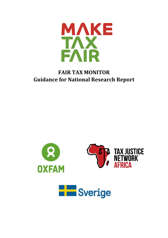

# **FAIR TAX MONITOR Guidance for National Research Report**



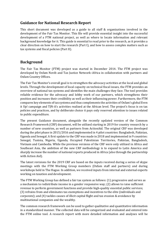# **Guidance for National Research Report**

This short document was developed as a guide to all staff & organizations involved in the development of the Fair Tax Monitor. This file will provide essential insight into the successful development of a FTM national project, as well as where to locate information and relevant background knowledge for it. This guide is essential to read prior to the research, as it provides a clear direction on how to start the research (Part I), and how to assess complex matters such as tax systems and fiscal policies (Part II).

# **Background**

The Fair Tax Monitor (FTM) project was started in December 2014. The FTM project was developed by Oxfam Novib and Tax Justice Network–Africa in collaboration with partners and Oxfam Country Offices.

The Fair Tax Monitor's overall goal is to strengthen the advocacy activities at the local and global levels. Through the development of local capacity on technical fiscal issues, the FTM provides an overview of national tax systems and identifies the main challenges they face. The tool provides reliable evidence for the advocacy and lobby work of our partners, which strengthens their position and increases their credibility as well as their influencing power. Furthermore, the FTM compares key elements of tax systems and thus complements the activities of Oxfam's global Even it Up! campaign and TJN-A's activities realized at the African level. The project's focus is on tax policies and practices, and by deliberate choice it pays only reserved attention to issues related to public expenditure.

The present Guidance document, alongside the recently updated version of the Common Research Framework (CRF) document, will be utilized starting in 2019 for country research by a number of new countries, as well as partners from ActionAid. The original CRF was developed during the pilot phase in 2015/2016 and implemented in 4 pilot countries: Bangladesh, Pakistan, Uganda and Senegal. A first update to the CRF was made in 2018 and implemented in 9 countries: Senegal, Tunisia, Nigeria, Uganda, Occupied Palestinian Territories, Pakistan, Bangladesh, Vietnam and Cambodia. While the previous versions of the CRF were only utilized in Africa and Southeast Asia, the ambition of the new CRF methodology is to expand to Latin America and sharply increase the number of national reports produced in Africa (also through the partnership with Action Aid).

The latest revisions for the 2019 CRF are based on the inputs received during a series of skype meetings with the FTM Working Group members (Oxfam staff and partners) and during workshops held in The Hague. In addition, we received inputs from internal and external experts working on taxation and development.

The FTM Working Group has defined a fair tax system as follows: (1) progressive and serves as a mechanism to redistribute income in a gender responsive way; (2) allows to raise sufficient revenue to perform government functions and provide high-quality essential public services; (3) refrains from and eliminates tax exemptions and incentives to the elite (individuals and corporate); and (4) tackles causes of illicit capital flight and tax evasion & avoidance by multinational companies and the wealthy.

The common research framework can be used to gather qualitative and quantitative information in a standardized manner. The collected data will be categorized and evaluated and entered into the FTM online tool. A research report with more detailed information and analyses will be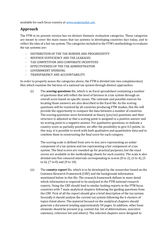available for each focus country a[t www.maketaxfair.net.](http://www.maketaxfair.net/)

# **Approach**

The FTM in its present version has six distinct thematic evaluation categories. These categories are meant to cover the main issues that tax systems in developing countries face today, and to reflect the idea of a fair tax system. The categories included in the FTM's methodology to evaluate the tax systems are:

- DISTRIBUTION OF THE TAX BURDEN AND PROGRESSIVITY
- REVENUE SUFFICIENCY AND TAX LEAKAGES
- TAX COMPETITION AND CORPORATE INCENTIVES
- EFFECTIVENESS OF THE TAX ADMINISTRATION
- GOVERNMENT SPENDING
- TRANSPARENCY AND ACCOUNTABILITY

In order to properly assess the categories above, the FTM is divided into two complementary files which examine the fairness of a national tax system through distinct approaches:

(i) The *scoring questions* file, which is an Excel spreadsheet containing a number of questions that will reflect the level of fairness in a tax system through an overall score based on specific issues. The rationale and possible sources for locating those answers are also described in the Excel file. As the scoring questions will be resolved by all countries producing FTM studies, this file will provide the opportunity to compare the data between a number of countries. The scoring questions were formulated as binary (yes/no) questions and their structure is adjusted so that a scoring point is assigned to a positive answer and no scoring point to a negative answer. For qualitative questions, to indicate a country score as partially positive, we offer the possibility to give 0,5 points. In this way, it is possible to work with both qualitative and quantitative data and to combine them in constructing the final score for each category.

The scoring scale is defined from zero to ten; zero representing an unfair component of a tax system and ten representing a fair component of a tax system. The final scores are rounded up for practical purposes, but the exact scores are available in the methodology sheets for each country. The scale is also divided into five coloured intervals corresponding to scores (0 to 2), (3 to 4), (5 to 6), (7 to 8) and (9 to 10).

(ii) The *country report* file, which is to be developed by the researcher based on the Common Research Framework (CRF) and the background information mentioned below in this file. The research framework defines in more detail which information is required to be analysed in the FTM national research reports. Using the CRF should lead to similar looking reports in the FTM focus countries with 7 main analytical chapters following the guiding questions from the CRF. First of all the report should give a brief description of the tax system. Secondly it should analyse the current tax system following the 6 clusters of topics listed above. The material focused on the analytical chapters should generate a document totaling approximately 50 pages. In addition, other basic elements should be present (e.g. content list, list of abbreviations, executive summary, reference list and others). The selected chapters were designed to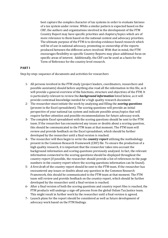best capture the complex character of tax systems in order to evaluate fairness of a tax system under review. While a similar pattern is expected based on the CRF, the authors and organizations involved in the development of the FTM Country Report may have specific priorities and chapters/topics which are of more relevance to them based on the national context and advocacy priorities. The ultimate purpose of the FTM is to develop evidence-based research which will be of use in national advocacy, promoting co-ownership of the reports produced between the different actors involved. With that in mind, the FTM encourages flexibility so specific Country Reports may place additional focus on specific areas of interest. Additionally, the CRF can be used as a basis for the Term of Reference for the country level research.

#### **PART I**

Step-by-step: sequence of documents and activities for researchers

- 1- All persons involved in the FTM study (project leaders, coordinators, researchers and possible assistants) should before anything else read all the information in this file, as it will provide a general overview of the functions, structure and objectives of the FTM. It is particularly relevant to review the *background information* listed below, as it will provide contextual knowledge needed for a high quality research document.
- 2- The researcher must initiate the work by analyzing and filling the *scoring questions* (present in the Excel spreadsheet). The scoring questions will provide an initial perspective of your national tax system and indicate possible areas/topics that will require further attention and possible recommendations for future advocacy work.
- 3- The complete Excel spreadsheet with the scoring questions should be sent to the FTM team. If the researcher has encountered any issues or doubts about a scoring question, this should be communicated to the FTM team at that moment. The FTM team will review and provide feedback on the Excel spreadsheet, which should be further developed by the researcher until a final version is reached.
- 4- The researcher will then begin to write the *country report* utilizing the methodology present in the Common Research Framework (CRF) file. To ensure the production of a high quality research, it is important that the researcher takes into account the background information and scoring questions previously analyzed. In fact, the relevant information connected to the scoring questions should be displayed throughout the country report (if possible, the researcher should provide a list of references to the page numbers in the country report where the scoring questions information can be found).
- 5- A first draft of the country report should be sent to the FTM team. If the researcher has encountered any issues or doubts about any question in the Common Research Framework, this should be communicated to the FTM team at that moment. The FTM team will review and provide feedback on the country report, which should be further developed by the researcher until a final version is reached.
- 6- After a final version of both the scoring questions and country report files is reached, the FTM products will undergo a sign-off process from the global Oxfam Tax Justice team. This might result in further work by the researcher until a final version is agreed.
- 7- Launch plans for the report should be considered as well as future development of advocacy work based on the FTM findings.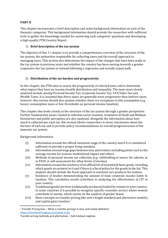# **PART II**

This chapter incorporates a brief description and some background information on each of the thematic categories. This background information should provide the researcher with sufficient tools to gather the knowledge needed for answering each categories' questions and developing a high-quality FTM Country Report.

#### 1) **Brief description of the tax system**

The objective of this 1st chapter is to provide a comprehensive overview of the structure of the tax system, the authorities responsible for collecting taxes and the overall approach to managing taxes. This section also determines the impact of the changes that have been made to the tax system in previous years and whether the country has been moving towards a genderresponsive fair tax system or instead following a regressive and socially unjust path.

# 2) **Distribution of the tax burden and progressivity**

In this chapter, the FTM aims to assess the progressivity of selected taxes and to determine what impact they have on income/wealth distribution and inequality. The taxes most closely analyzed include among Personal Income Tax, Corporate Income Tax, VAT/Sales Tax and Wealth Taxes. It is assumed that direct taxes are generally more progressive than indirect taxes, however, this section should also analyse whether there are exceptions to this assumption (e.g. luxury consumption taxes or low-thresholds on personal income taxation).

This chapter also looks closely at the structure of the tax system through a gender perspective. Further fundamental issues related to informal sector taxation, treatment of Small and Medium Enterprises and public perception are also analyzed. Alongside the information about how much is collected per each tax, this section allows researchers to draw conclusions about the fairness of each tax and to provide policy recommendations on overall progressiveness of the domestic tax system.

Background information:

**.** 

- (i) Information around the official minimum wage of the country and if it is considered sufficient to provide a proper living standard.
- (ii) Information around wage gaps between men and women, including points such as the average income for women, motherhood impact and others.
- (iii) Methods of personal income tax collection (e.g. withholding at source for salaries as in PAYE or self-assessment for other forms of income).
- (iv) Information around the existence of an official list of essential & basic goods, including which goods are present in it and if there is a fiscal policy for the goods in the list. This analysis should include the fiscal approach to essential care products for women.
- (v) Existence of studies demonstrating the amount of total corporate income liable to taxation. This calculation would contribute to analyzing the effectiveness of CIT in your country.
- (vi) Traditional goods/services traditionally produced/traded by women in your country. In some countries it is possible to recognize specific economic sectors where women contribute to mostly, which assists on the analysis of gender biases.
- (vii) Basic concepts on transfer pricing (the arm's length standard and alternative models) and capital gains taxation. 1

<sup>&</sup>lt;sup>1</sup> Transfer Pricing Asia – What is transfer pricing? A clear and simple definition <https://transferpricingasia.com/what-is-tp/>

Transfer pricing methods and alternatives – Safe harbour regimes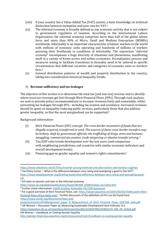- (viii) If your country has a Value-Added Tax (VAT) system, a basic knowledge on technical distinction between exemption and zero-rate for VAT. 2
- (ix) The informal economy is broadly defined as any economic activity that is not subject to government regulation of taxation. According to the International Labour Organization, the informal economy comprises more than half of the global labour force and more than 90% of Micro, Small and Medium Enterprises (MSMEs) worldwide. Informality is an important characteristic of labour markets in the world with millions of economic units operating and hundreds of millions of workers pursuing their livelihoods in conditions of informality. The expression "*informal economy*" encompasses a huge diversity of situations and phenomena, manifesting itself in a variety of forms across and within economies. Formalization process and measures aiming to facilitate transitions to formality need to be tailored to specific circumstances that different countries and categories of economic units or workers face**. 3**
- (x) General distribution patterns of wealth and property distribution in the country, taking into consideration historical inequality trends.

# 3) **Revenue sufficiency and tax leakages**

The objective of this section is to determine the total tax (and non-tax) revenue and to identify where most tax revenues get lost through Illicit Financial Flows (IFFs). Through such analysis, we seek to provide policy recommendations to increase revenues fairly and sustainably, whilst preventing tax leakages through IFFs - including tax evasion and avoidance. Increased revenues should be spent on inequality-reducing public services, particularly those that also address gender inequality, so that the most marginalised can be supported.<sup>4</sup>

Background information:

1

- (i) Illicit Financial Flows (IFF) concept: *The cross-border movement of funds that are illegally acquired, transferred or used. The sources of these cross-border transfers may be bribery, theft by government officials, the trafficking of drugs, arms and humans, smuggling, commercial tax evasion, trade mispricing or abusive transfer pricing.* <sup>5</sup>
- (ii) Tax/GDP ratio trends development over the last years (and comparison with neighboring jurisdictions and countries with similar economic indicators and overall development levels).
- (iii) Financing gap on gender equality and women's rights commitments.<sup>6</sup>

- [https://www.ilo.org/global/publications/books/WCMS\\_626831/lang--en/index.htm](https://www.ilo.org/global/publications/books/WCMS_626831/lang--en/index.htm)
- <sup>4</sup> Further initial information: **[GADN briefing,](https://static1.squarespace.com/static/536c4ee8e4b0b60bc6ca7c74/t/5c34c34cb8a04568549dc77d/1546961742579/How+social+protection%2C+public+services%2C+infrastructure+impact+women%27s+rights.pdf) [ActionAid,](https://www.ms.dk/sites/default/files/udgivelser/grps_framework.pdf) [PSI CSW statement](https://world-psi.org/uncsw/wordpress/wp-content/uploads/2019/03/FactSheetCSW63_Privatisation.pdf)**

<https://www.slideshare.net/ICTDTax/transfer-pricing-methods-and-alternatives-safe-harbour-regimes>  $2$  Tax Policy Center – What is the difference between zero rating and exempting a good in the VAT? [https://www.taxpolicycenter.org/briefing-book/what-difference-between-zero-rating-and-exempting-good](https://www.taxpolicycenter.org/briefing-book/what-difference-between-zero-rating-and-exempting-good-vat)[vat](https://www.taxpolicycenter.org/briefing-book/what-difference-between-zero-rating-and-exempting-good-vat)

<sup>&</sup>lt;sup>3</sup> ILO stats on women and men in the informal economy

<sup>&</sup>lt;sup>5</sup> For a good overview of Illicit Financial Flows, see: [https://www.taxjustice.net/2015/02/02/mbeki-panel-illicit](https://www.taxjustice.net/2015/02/02/mbeki-panel-illicit-financial-flows-africa-leads-way/)[financial-flows-africa-leads-way/](https://www.taxjustice.net/2015/02/02/mbeki-panel-illicit-financial-flows-africa-leads-way/) . Further discussion of the definition of IFFs can be found here: [https://www.unodc.org/documents/data-and-](https://www.unodc.org/documents/data-and-analysis/statistics/IFF/Background_paper_B_Measurement_of_Illicit_Financial_Flows_UNCTAD_web.pdf)

[analysis/statistics/IFF/Background\\_paper\\_B\\_Measurement\\_of\\_Illicit\\_Financial\\_Flows\\_UNCTAD\\_web.pdf](https://www.unodc.org/documents/data-and-analysis/statistics/IFF/Background_paper_B_Measurement_of_Illicit_Financial_Flows_UNCTAD_web.pdf) <sup>6</sup> UN Women – Discussion Paper on Measuring Sustainable Development Goal Indicator 5c1

[https://opendocs.ids.ac.uk/opendocs/bitstream/handle/123456789/14288/ICTD\\_RiB\\_30\\_Online.pdf](https://opendocs.ids.ac.uk/opendocs/bitstream/handle/123456789/14288/ICTD_RiB_30_Online.pdf) UN Women – Handbook on Costing Gender Equality

<http://gender-financing.unwomen.org/en/resources/h/a/n/handbook-on-costing-gender-equality>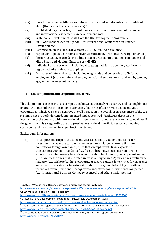- (iv) Basic knowledge on differences between centralized and decentralized models of State (Unitary and Federalist models).<sup>7</sup>
- (v) Established targets for tax/GDP ratio in accordance with government documents and international agreements on development goals.
- (vi) Sustainable Development Goals from the UN Development Programme. 8
- (vii) 2015 Addis Ababa Action Agenda 3rd International Conference on Finance Development. 9
- (viii) Commission on the Status of Women 2019 CSW63 Conclusions. 10
- (ix) Explicit or implicit definitions of revenue 'sufficiency' (National Development Plans).
- (x) Corporate taxpayer trends, including perspectives on multinational companies and Micro Small and Medium Enterprises (MSME).
- (xi) Individual taxpayer trends, including disaggregated data by gender, age, income, region and other relevant groupings.
- (xii) Estimates of informal sector, including magnitude and composition of informal employment (share of informal employment/total employment, total and by gender, age, and other relevant factors).

# 4) **Tax competition and corporate incentives**

This chapter looks closer into tax competition between the analyzed country and its neighbours or countries in similar socio-economic scenarios. Countries often provide tax incentives to corporations, which can have a negative overall impact on the overall progressiveness of the tax system if not properly designed, implemented and supervised. Further analysis on the interaction of the country with international competitors will allow the researcher to evaluate if the government is safeguarding the progressiveness of the domestic tax system or making costly concessions to attract foreign direct investment.

Background information:

**.** 

(i) List of possible corporate tax incentives: Tax holidays, super deductions for investments, corporate tax credits on investments, large tax exemptions for domestic or foreign companies, rules that exempt profits from exports or transactions with non-residents (e.g. free trade zones, special economic zones or export processing zones), incentives for the shipping industry, development zones (if so, are these zones really located in disadvantaged areas?), incentives for financial industry (e.g. offshore banking, corporate treasury centers, lower rates for insurance activities, lower rates for investment funds or trusts, mobile banking incentives), incentives for multinational headquarters, incentives for international companies (e.g. International Business Company licences) and other similar policies.

[https://www.oecd-ilibrary.org/taxation/oecd-working-papers-on-fiscal-federalism\\_22265848](https://www.oecd-ilibrary.org/taxation/oecd-working-papers-on-fiscal-federalism_22265848) <sup>8</sup> United Nations Development Programme – Sustainable Development Goals

 $7$  Enotes – What is the difference between unitary and federal systems?

<https://www.enotes.com/homework-help/wat-iz-differnce-between-unitary-federal-systems-294718> OECD Working Papers on Fiscal Federalism

<https://www.undp.org/content/undp/en/home/sustainable-development-goals.html>

 $9$  Addis Ababa Action Agenda of the 3<sup>rd</sup> International Conference on Financing for Development [https://www.un.org/esa/ffd/wp-content/uploads/2015/08/AAAA\\_Outcome.pdf](https://www.un.org/esa/ffd/wp-content/uploads/2015/08/AAAA_Outcome.pdf)

<sup>&</sup>lt;sup>10</sup> United Nations – Commission on the Status of Women, 63<sup>rd</sup> Session Agreed Conclusions <https://undocs.org/en/E/CN.6/2019/L.3>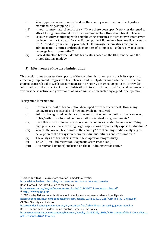- (ii) What type of economic activities does the country want to attract (i.e. logistics, manufacturing, shipping, IT)?
- (iii) Is your country natural resource rich? Have there been specific policies designed to attract foreign investment into this economic sector? How about fiscal policies?
- (iv) Is your country competing with neighbouring countries to attract investments with tax incentives or tax deals for specific companies? Have there been media stories on this? How does your country promote itself: through its ministries and public administration entities or through chambers of commerce? Is there any specific tax language in such promotion?
- (v) Basic distinction between double tax treaties based on the OECD model and the United Nations model. 11

#### 5) **Effectiveness of the tax administration**

This section aims to assess the capacity of the tax administration, particularly its capacity to effectively implement progressive tax policies – and to help determine whether the revenue shortfalls are related to weak tax administration or poorly designed tax policies. It provides information on the capacity of tax administration in terms of human and financial resources and reviews the structure and governance of tax administration, including a gender perspective.

Background information:

**.** 

- (i) How has the cost of tax collection developed over the recent past? How many taxpayers are registered, and how many file tax returns?
- (ii) Political background on history of decentralization or devolution. How are taxing rights/authority allocated between national/state/local governments?
- (iii) Have there been notorious cases of criminal offences related to tax evasion? Any high profile scandals involving large corporations or politically exposed individuals?
- (iv) What is the overall tax morale in the country? Are there any studies analyzing the perception of the tax system between individual citizens and corporations?
- (v) The analysis of tax policies from FTM chapter on Progressivity.
- (vi) TADAT (Tax Administration Diagnostic Assessment Tool). 12
- (vii) Diversity and (gender) inclusion on the tax administration staff.<sup>13</sup>

 $13$  ICTD – Why African tax authorities should employ more women: evidence from Uganda

 $11$  Leiden Law Blog – Source state taxation in model tax treaties

<https://leidenlawblog.nl/articles/source-state-taxation-in-model-tax-treaties> Brian J. Arnold - An Introduction to tax treaties

[https://www.un.org/esa/ffd/wp-content/uploads/2015/10/TT\\_Introduction\\_Eng.pdf](https://www.un.org/esa/ffd/wp-content/uploads/2015/10/TT_Introduction_Eng.pdf) <sup>12</sup> <http://www.tadat.org/>

[https://opendocs.ids.ac.uk/opendocs/bitstream/handle/123456789/14288/ICTD\\_RiB\\_30\\_Online.pdf](https://opendocs.ids.ac.uk/opendocs/bitstream/handle/123456789/14288/ICTD_RiB_30_Online.pdf) OECD – Diversity and inclusion

<http://gender-financing.unwomen.org/en/resources/h/a/n/handbook-on-costing-gender-equality> ICTD – Tax and gender in developing countries: what are the issues?

[https://opendocs.ids.ac.uk/opendocs/bitstream/handle/123456789/13066/ICTD\\_SumBrief%236\\_OnlineNew2.](https://opendocs.ids.ac.uk/opendocs/bitstream/handle/123456789/13066/ICTD_SumBrief%236_OnlineNew2.pdf?sequence=1&isAllowed=y) [pdf?sequence=1&isAllowed=y](https://opendocs.ids.ac.uk/opendocs/bitstream/handle/123456789/13066/ICTD_SumBrief%236_OnlineNew2.pdf?sequence=1&isAllowed=y)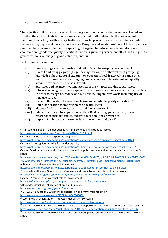# 6) **Government Spending**

The objective of this part is to review how the government spends the revenues collected and whether the effects of fair tax collection are enhanced or diminished by the government spending. Education, healthcare, agriculture and social protection are the main topics under review as they represent basic public services. Pro-poor and gender analyses of these topics are provided to determine whether the spending is targeted to reduce poverty and decrease economic and gender inequality. Specific attention is given to government efforts with regard to gender responsive budgeting and actual expenditure.

Background information:

- (i) Concept of gender-responsive budgeting & gender-responsive spending. 14
- (ii) Overall and disaggregated (by gender, age, income or other relevant grouping) knowledge about national situation on education, health, agriculture and social security. In case there are strong regional disparities in investment and quality service provision, this is also relevant.
- (iii) Subsidies and tax incentives mentioned in this chapter are direct subsidies.
- (iv) Information on government expenditure on care-related services and infrastructure in order to recognize, reduce and redistribute unpaid care work, including use of time use surveys.<sup>15</sup>
- $(v)$  Incheon Declaration to ensure inclusive and equitable quality education.<sup>16</sup>
- (vi) Abuja Declaration to improvement of health sector.<sup>17</sup>
- (vii) Maputo Declaration on agriculture and food security.<sup>18</sup>
- (viii) Education expenditure questions in the CRF & scoring questions only make reference to primary and secondary education (not universities).
- $(ix)$  Impact of public expenditure decisions on women and girls.<sup>19</sup>

[https://static1.squarespace.com/static/536c4ee8e4b0b60bc6ca7c74/t/5c34c34cb8a04568549dc77d/1546961](https://static1.squarespace.com/static/536c4ee8e4b0b60bc6ca7c74/t/5c34c34cb8a04568549dc77d/1546961742579/How+social+protection%2C+public+services%2C+infrastructure+impact+women%27s+rights.pdf) [742579/How+social+protection%2C+public+services%2C+infrastructure+impact+women%27s+rights.pdf](https://static1.squarespace.com/static/536c4ee8e4b0b60bc6ca7c74/t/5c34c34cb8a04568549dc77d/1546961742579/How+social+protection%2C+public+services%2C+infrastructure+impact+women%27s+rights.pdf) Action Aid – Gender-responsive public services

<https://actionaid.org/publications/2018/framework-2018-gender-responsive-public-services>

 $15$  International Labour Organization – Care work and care jobs for the future of decent work

[https://www.ilo.org/global/publications/books/WCMS\\_633135/lang--en/index.htm](https://www.ilo.org/global/publications/books/WCMS_633135/lang--en/index.htm)

UN Gender Statistics – Allocation of time and time-use

<https://unstats.un.org/unsd/gender/timeuse/>

<https://unesdoc.unesco.org/ark:/48223/pf0000245656>

[https://www.who.int/healthsystems/publications/abuja\\_declaration/en/](https://www.who.int/healthsystems/publications/abuja_declaration/en/)

**<sup>.</sup>**  $14$  IMF Working Paper – Gender budgeting: fiscal context and current outcomes <https://www.imf.org/external/pubs/ft/wp/2016/wp16149.pdf>

Oxfam – A guide to gender-responsive budgeting

<https://policy-practice.oxfam.org.uk/publications/a-guide-to-gender-responsive-budgeting-620429> Oxfam – A short guide to taxing for gender equality

<https://policy-practice.oxfam.org.uk/publications/a-short-guide-to-taxing-for-gender-equality-620629> Gender Development Network: How social protection, public services and infrastructure impact women's rights

Oxfam – A caring economy: what role for government?

<https://oxfamblogs.org/fp2p/a-caring-economy-what-role-for-government/>

<sup>16</sup> UNESCO – Education 2030: Incheon declaration and framework for action

 $17$  World Health Organization – The Abuja declaration 10 years on

 $18$  New Partnership for Africa Development – AU 2003 Maputo Declaration on agriculture and food security <https://www.nepad.org/caadp/publication/au-2003-maputo-declaration-agriculture-and-food-security>

 $19$  Gender Development Network – How social protection, public services and infrastructure impact women's rights